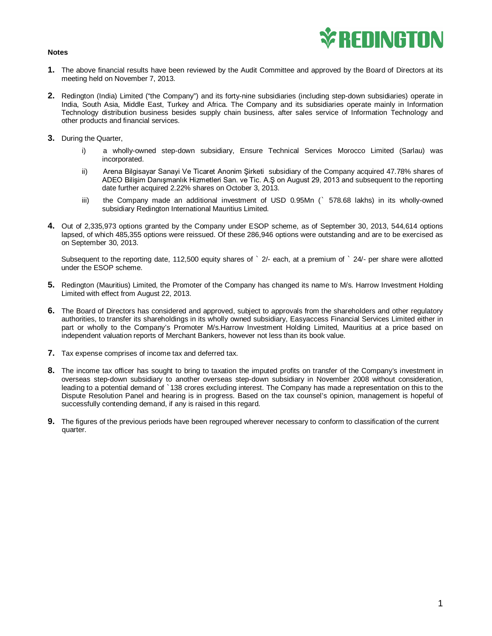## *\*REDINGTON*

## **Notes**

- **1.** The above financial results have been reviewed by the Audit Committee and approved by the Board of Directors at its meeting held on November 7, 2013.
- **2.** Redington (India) Limited ("the Company") and its forty-nine subsidiaries (including step-down subsidiaries) operate in India, South Asia, Middle East, Turkey and Africa. The Company and its subsidiaries operate mainly in Information Technology distribution business besides supply chain business, after sales service of Information Technology and other products and financial services.
- **3.** During the Quarter,
	- i) a wholly-owned step-down subsidiary, Ensure Technical Services Morocco Limited (Sarlau) was incorporated.
	- ii) Arena Bilgisayar Sanayi Ve Ticaret Anonim Şirketi subsidiary of the Company acquired 47.78% shares of ADEO Bilişim Danışmanlık Hizmetleri San. ve Tic. A.Ş on August 29, 2013 and subsequent to the reporting date further acquired 2.22% shares on October 3, 2013.
	- iii) the Company made an additional investment of USD 0.95Mn (` 578.68 lakhs) in its wholly-owned subsidiary Redington International Mauritius Limited.
- **4.** Out of 2,335,973 options granted by the Company under ESOP scheme, as of September 30, 2013, 544,614 options lapsed, of which 485,355 options were reissued. Of these 286,946 options were outstanding and are to be exercised as on September 30, 2013.

Subsequent to the reporting date, 112,500 equity shares of ` 2/- each, at a premium of ` 24/- per share were allotted under the ESOP scheme.

- **5.** Redington (Mauritius) Limited, the Promoter of the Company has changed its name to M/s. Harrow Investment Holding Limited with effect from August 22, 2013.
- **6.** The Board of Directors has considered and approved, subject to approvals from the shareholders and other regulatory authorities, to transfer its shareholdings in its wholly owned subsidiary, Easyaccess Financial Services Limited either in part or wholly to the Company's Promoter M/s.Harrow Investment Holding Limited, Mauritius at a price based on independent valuation reports of Merchant Bankers, however not less than its book value.
- **7.** Tax expense comprises of income tax and deferred tax.
- **8.** The income tax officer has sought to bring to taxation the imputed profits on transfer of the Company's investment in overseas step-down subsidiary to another overseas step-down subsidiary in November 2008 without consideration, leading to a potential demand of `138 crores excluding interest. The Company has made a representation on this to the Dispute Resolution Panel and hearing is in progress. Based on the tax counsel's opinion, management is hopeful of successfully contending demand, if any is raised in this regard.
- **9.** The figures of the previous periods have been regrouped wherever necessary to conform to classification of the current quarter.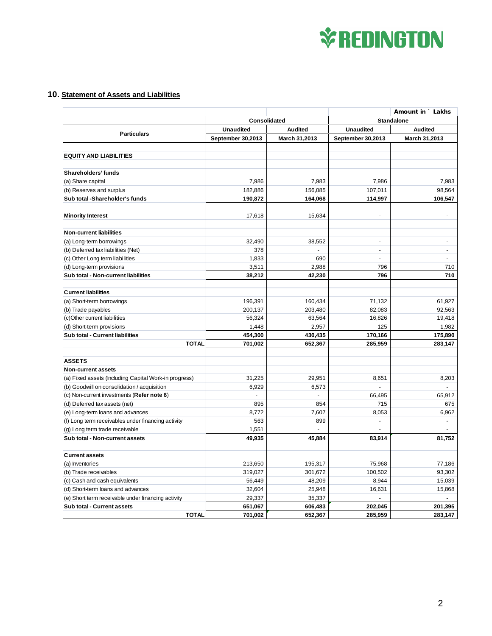

## **10. Statement of Assets and Liabilities**

|                                                                  |                   |                 |                                  | Amount in ` Lakhs                |
|------------------------------------------------------------------|-------------------|-----------------|----------------------------------|----------------------------------|
|                                                                  | Consolidated      |                 | <b>Standalone</b>                |                                  |
| <b>Particulars</b>                                               | <b>Unaudited</b>  | <b>Audited</b>  | <b>Unaudited</b>                 | <b>Audited</b>                   |
|                                                                  | September 30,2013 | March 31,2013   | September 30,2013                | March 31,2013                    |
|                                                                  |                   |                 |                                  |                                  |
| <b>EQUITY AND LIABILITIES</b>                                    |                   |                 |                                  |                                  |
|                                                                  |                   |                 |                                  |                                  |
| Shareholders' funds                                              |                   |                 |                                  |                                  |
| (a) Share capital                                                | 7,986             | 7,983           | 7,986                            | 7,983                            |
| (b) Reserves and surplus                                         | 182,886           | 156,085         | 107,011                          | 98,564                           |
| Sub total -Shareholder's funds                                   | 190,872           | 164,068         | 114,997                          | 106,547                          |
| <b>Minority Interest</b>                                         | 17,618            | 15,634          | $\overline{\phantom{a}}$         | $\overline{\phantom{a}}$         |
|                                                                  |                   |                 |                                  |                                  |
| <b>Non-current liabilities</b>                                   |                   |                 |                                  |                                  |
| (a) Long-term borrowings                                         | 32,490            | 38,552          | $\overline{a}$                   | ÷                                |
| (b) Deferred tax liabilities (Net)                               | 378               |                 | $\overline{\phantom{a}}$         | ÷.                               |
| (c) Other Long term liabilities                                  | 1,833             | 690             | $\overline{a}$<br>796            |                                  |
| (d) Long-term provisions<br>Sub total - Non-current liabilities  | 3,511<br>38,212   | 2,988<br>42,230 | 796                              | 710<br>710                       |
|                                                                  |                   |                 |                                  |                                  |
| <b>Current liabilities</b>                                       |                   |                 |                                  |                                  |
| (a) Short-term borrowings                                        | 196,391           | 160,434         | 71,132                           | 61,927                           |
| (b) Trade payables                                               | 200,137           | 203,480         | 82,083                           | 92,563                           |
| (c)Other current liabilities                                     | 56,324            | 63,564          | 16,826                           | 19,418                           |
| (d) Short-term provisions                                        | 1,448             | 2,957           | 125                              | 1,982                            |
| Sub total - Current liabilities                                  | 454,300           | 430,435         | 170,166                          | 175,890                          |
| <b>TOTAL</b>                                                     | 701,002           | 652,367         | 285,959                          | 283,147                          |
|                                                                  |                   |                 |                                  |                                  |
| <b>ASSETS</b>                                                    |                   |                 |                                  |                                  |
| <b>Non-current assets</b>                                        |                   |                 |                                  |                                  |
| (a) Fixed assets (Including Capital Work-in progress)            | 31,225            | 29,951          | 8,651                            | 8,203                            |
| (b) Goodwill on consolidation / acquisition                      | 6,929             | 6,573           | $\overline{a}$                   |                                  |
| (c) Non-current investments (Refer note 6)                       | L.                | $\overline{a}$  | 66,495                           | 65,912                           |
| (d) Deferred tax assets (net)                                    | 895               | 854             | 715                              | 675                              |
| (e) Long-term loans and advances                                 | 8,772             | 7,607           | 8,053                            | 6,962                            |
| (f) Long term receivables under financing activity               | 563               | 899             | $\overline{a}$<br>$\overline{a}$ | $\blacksquare$<br>$\blacksquare$ |
| (g) Long term trade receivable<br>Sub total - Non-current assets | 1,551<br>49,935   | 45,884          | 83,914                           | 81,752                           |
|                                                                  |                   |                 |                                  |                                  |
| <b>Current assets</b>                                            |                   |                 |                                  |                                  |
| (a) Inventories                                                  | 213,650           | 195,317         | 75,968                           | 77,186                           |
| (b) Trade receivables                                            | 319,027           | 301,672         | 100,502                          | 93,302                           |
| (c) Cash and cash equivalents                                    | 56,449            | 48,209          | 8,944                            | 15,039                           |
| (d) Short-term loans and advances                                | 32,604            | 25,948          | 16,631                           | 15,868                           |
| (e) Short term receivable under financing activity               | 29,337            | 35,337          | $\overline{a}$                   | $\sim$                           |
| Sub total - Current assets                                       | 651,067           | 606,483         | 202,045                          | 201,395                          |
| <b>TOTAL</b>                                                     | 701,002           | 652,367         | 285,959                          | 283,147                          |